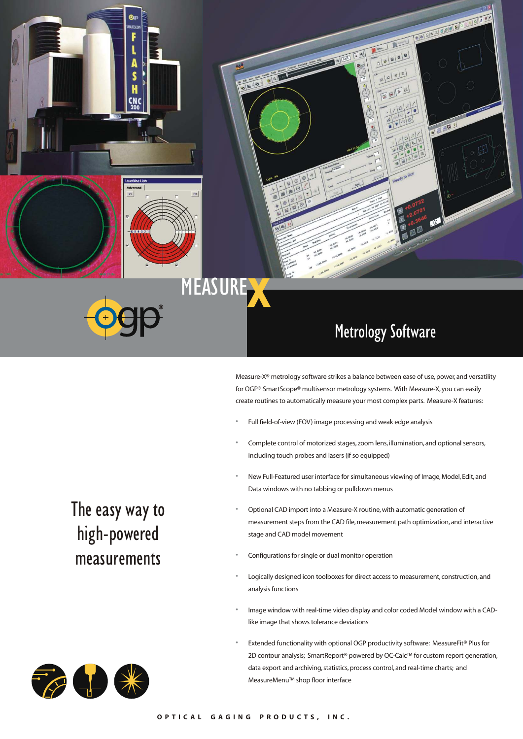

**MEASURE** 

### Metrology Software

000000000

**COOM** 

 $\sqrt{4}$ 

Measure-X® metrology software strikes a balance between ease of use, power, and versatility for OGP® SmartScope® multisensor metrology systems. With Measure-X, you can easily create routines to automatically measure your most complex parts. Measure-X features:

- Full field-of-view (FOV) image processing and weak edge analysis
- Complete control of motorized stages, zoom lens, illumination, and optional sensors, including touch probes and lasers (if so equipped)
- New Full-Featured user interface for simultaneous viewing of Image, Model, Edit, and Data windows with no tabbing or pulldown menus
- Optional CAD import into a Measure-X routine,with automatic generation of measurement steps from the CAD file,measurement path optimization, and interactive stage and CAD model movement
- Configurations for single or dual monitor operation
- Logically designed icon toolboxes for direct access to measurement, construction, and analysis functions
- Image window with real-time video display and color coded Model window with a CADlike image that shows tolerance deviations
- Extended functionality with optional OGP productivity software: MeasureFit® Plus for 2D contour analysis; SmartReport® powered by QC-Calc™ for custom report generation, data export and archiving, statistics, process control, and real-time charts; and MeasureMenu™ shop floor interface

The easy way to high-powered measurements

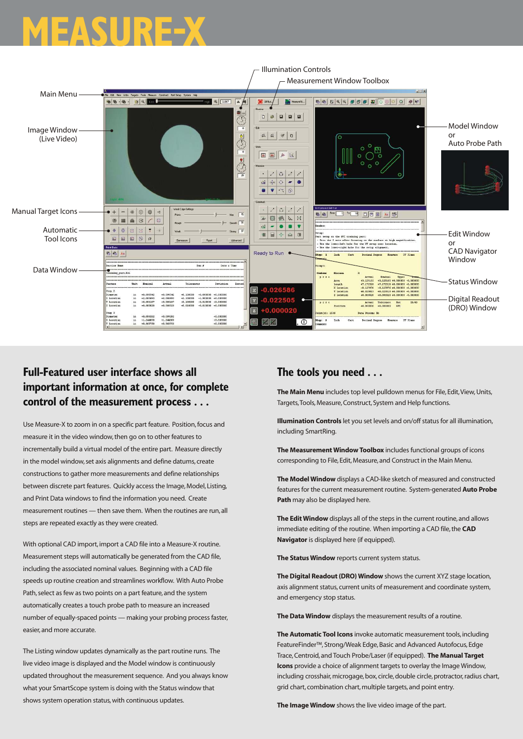## **MEASURE-X**



### **Full-Featured user interface shows all important information at once, for complete control of the measurement process . . .**

Use Measure-X to zoom in on a specific part feature. Position,focus and measure it in the video window,then go on to other features to incrementally build a virtual model of the entire part. Measure directly in the model window,set axis alignments and define datums, create constructions to gather more measurements and define relationships between discrete part features. Quickly access the Image, Model, Listing, and Print Data windows to find the information you need. Create measurement routines — then save them. When the routines are run, all steps are repeated exactly as they were created.

With optional CAD import, import a CAD file into a Measure-X routine. Measurement steps will automatically be generated from the CAD file, including the associated nominal values. Beginning with a CAD file speeds up routine creation and streamlines workflow. With Auto Probe Path, select as few as two points on a part feature, and the system automatically creates a touch probe path to measure an increased number of equally-spaced points — making your probing process faster, easier, and more accurate.

The Listing window updates dynamically as the part routine runs. The live video image is displayed and the Model window is continuously updated throughout the measurement sequence. And you always know what your SmartScope system is doing with the Status window that shows system operation status, with continuous updates.

#### **The tools you need . . .**

**The Main Menu** includes top level pulldown menus for File, Edit, View, Units, Targets,Tools,Measure,Construct, System and Help functions.

**Illumination Controls** let you set levels and on/off status for all illumination, including SmartRing.

**The Measurement Window Toolbox** includes functional groups of icons corresponding to File, Edit,Measure, and Construct in the Main Menu.

**The Model Window** displays a CAD-like sketch of measured and constructed features for the current measurement routine. System-generated **Auto Probe Path** may also be displayed here.

**The Edit Window** displays all of the steps in the current routine, and allows immediate editing of the routine. When importing a CAD file, the CAD **Navigator** is displayed here (if equipped).

**The Status Window** reports current system status.

**The Digital Readout (DRO) Window** shows the current XYZ stage location, axis alignment status, current units of measurement and coordinate system, and emergency stop status.

**The Data Window** displays the measurement results of a routine.

**The Automatic Tool Icons** invoke automatic measurement tools, including FeatureFinder™, Strong/Weak Edge,Basic and Advanced Autofocus, Edge Trace,Centroid, and Touch Probe/Laser (if equipped). **The Manual Target Icons** provide a choice of alignment targets to overlay the Image Window, including crosshair, microgage, box, circle, double circle, protractor, radius chart, grid chart, combination chart, multiple targets, and point entry.

**The Image Window** shows the live video image of the part.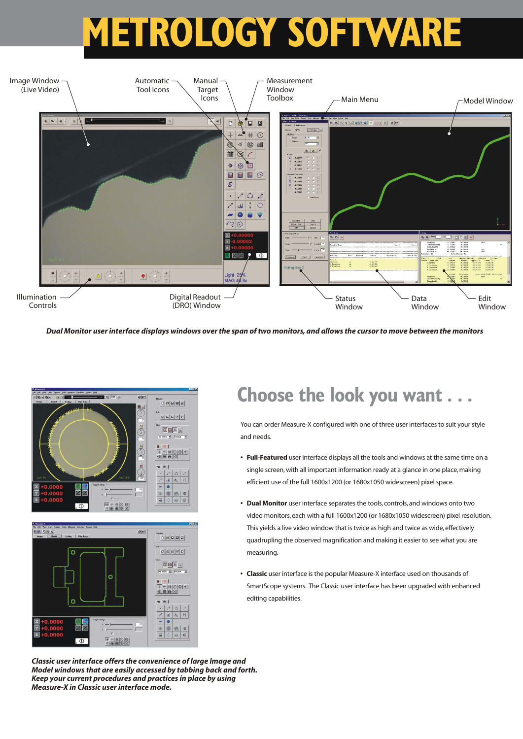# **METROLOGY SOFTWARE**



*Dual Monitor user interface displays windows over the span of two monitors, and allows the cursor to move between the monitors*



**Choose the look you want . . .**

You can order Measure-X configured with one of three user interfaces to suit your style and needs.

- **• Full-Featured** user interface displays all the tools and windows at the same time on a single screen, with all important information ready at a glance in one place, making efficient use of the full 1600x1200 (or 1680x1050 widescreen) pixel space.
- **• Dual Monitor** user interface separates the tools, controls, and windows onto two video monitors, each with a full 1600x1200 (or 1680x1050 widescreen) pixel resolution. This yields a live video window that is twice as high and twice as wide, effectively quadrupling the observed magnification and making it easier to see what you are measuring.
- **• Classic** user interface is the popular Measure-X interface used on thousands of SmartScope systems. The Classic user interface has been upgraded with enhanced editing capabilities.

*Classic user interface offers the convenience of large Image and Model windows that are easily accessed by tabbing back and forth. Keep your current procedures and practices in place by using Measure-X in Classic user interface mode.*